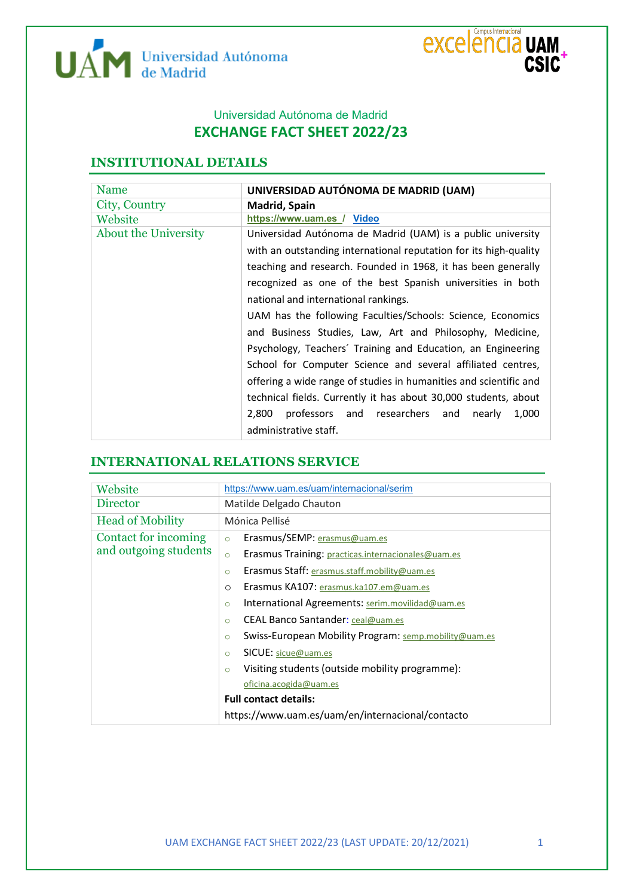



## Universidad Autónoma de Madrid **EXCHANGE FACT SHEET 2022/23**

## **INSTITUTIONAL DETAILS**

| Name                        | UNIVERSIDAD AUTÓNOMA DE MADRID (UAM)                              |  |
|-----------------------------|-------------------------------------------------------------------|--|
| City, Country               | Madrid, Spain                                                     |  |
| Website                     | https://www.uam.es / Video                                        |  |
| <b>About the University</b> | Universidad Autónoma de Madrid (UAM) is a public university       |  |
|                             | with an outstanding international reputation for its high-quality |  |
|                             | teaching and research. Founded in 1968, it has been generally     |  |
|                             | recognized as one of the best Spanish universities in both        |  |
|                             | national and international rankings.                              |  |
|                             | UAM has the following Faculties/Schools: Science, Economics       |  |
|                             | and Business Studies, Law, Art and Philosophy, Medicine,          |  |
|                             | Psychology, Teachers' Training and Education, an Engineering      |  |
|                             | School for Computer Science and several affiliated centres,       |  |
|                             | offering a wide range of studies in humanities and scientific and |  |
|                             | technical fields. Currently it has about 30,000 students, about   |  |
|                             | professors and researchers and<br>2.800<br>1,000<br>nearly        |  |
|                             | administrative staff.                                             |  |

## **INTERNATIONAL RELATIONS SERVICE**

| Website                 | https://www.uam.es/uam/internacional/serim                       |  |
|-------------------------|------------------------------------------------------------------|--|
| <b>Director</b>         | Matilde Delgado Chauton                                          |  |
| <b>Head of Mobility</b> | Mónica Pellisé                                                   |  |
| Contact for incoming    | Erasmus/SEMP: erasmus@uam.es<br>$\circ$                          |  |
| and outgoing students   | Erasmus Training: practicas.internacionales@uam.es<br>$\circ$    |  |
|                         | Erasmus Staff: erasmus.staff.mobility@uam.es<br>$\circ$          |  |
|                         | Erasmus KA107: erasmus.ka107.em@uam.es<br>$\circ$                |  |
|                         | International Agreements: serim.movilidad@uam.es<br>$\circ$      |  |
|                         | CEAL Banco Santander: ceal@uam.es<br>$\circ$                     |  |
|                         | Swiss-European Mobility Program: semp.mobility@uam.es<br>$\circ$ |  |
|                         | <b>SICUE:</b> sicue@uam.es<br>$\circ$                            |  |
|                         | Visiting students (outside mobility programme):<br>$\circ$       |  |
|                         | oficina.acogida@uam.es                                           |  |
|                         | <b>Full contact details:</b>                                     |  |
|                         | https://www.uam.es/uam/en/internacional/contacto                 |  |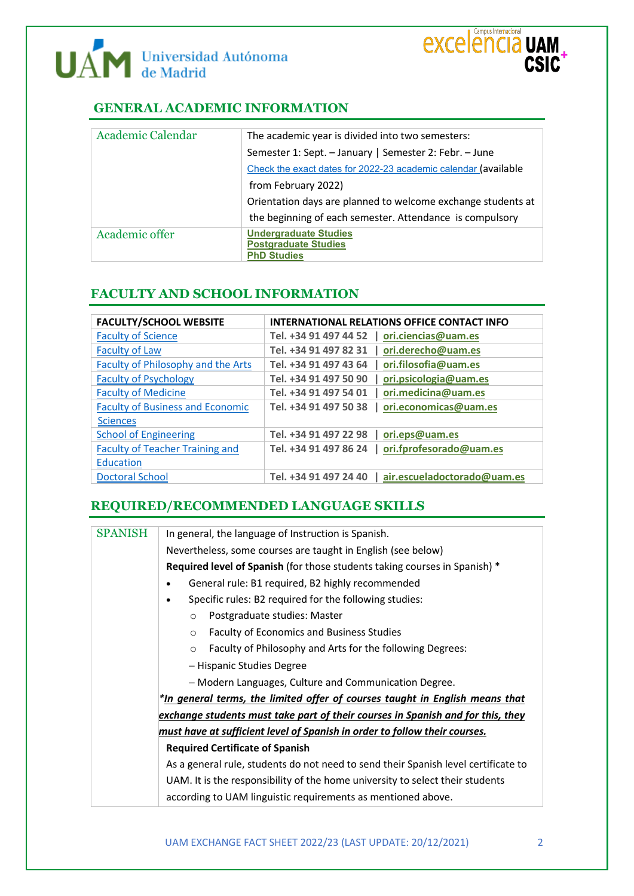



## **GENERAL ACADEMIC INFORMATION**

| Academic Calendar | The academic year is divided into two semesters:               |
|-------------------|----------------------------------------------------------------|
|                   | Semester 1: Sept. - January   Semester 2: Febr. - June         |
|                   | Check the exact dates for 2022-23 academic calendar (available |
|                   | from February 2022)                                            |
|                   | Orientation days are planned to welcome exchange students at   |
|                   | the beginning of each semester. Attendance is compulsory       |
| Academic offer    | <b>Undergraduate Studies</b>                                   |
|                   | <b>Postgraduate Studies</b>                                    |
|                   | <b>PhD Studies</b>                                             |

## **FACULTY AND SCHOOL INFORMATION**

| <b>FACULTY/SCHOOL WEBSITE</b>           | <b>INTERNATIONAL RELATIONS OFFICE CONTACT INFO</b>  |
|-----------------------------------------|-----------------------------------------------------|
| <b>Faculty of Science</b>               | Tel. +34 91 497 44 52   ori.ciencias@uam.es         |
| <b>Faculty of Law</b>                   | Tel. +34 91 497 82 31   ori.derecho@uam.es          |
| Faculty of Philosophy and the Arts      | Tel. +34 91 497 43 64   ori.filosofia@uam.es        |
| <b>Faculty of Psychology</b>            | Tel. +34 91 497 50 90<br>  ori.psicologia@uam.es    |
| <b>Faculty of Medicine</b>              | Tel. +34 91 497 54 01   ori.medicina@uam.es         |
| <b>Faculty of Business and Economic</b> | Tel. +34 91 497 50 38   ori.economicas@uam.es       |
| <b>Sciences</b>                         |                                                     |
| <b>School of Engineering</b>            | Tel. +34 91 497 22 98   ori.eps@uam.es              |
| <b>Faculty of Teacher Training and</b>  | Tel. +34 91 497 86 24   ori.fprofesorado@uam.es     |
| Education                               |                                                     |
| <b>Doctoral School</b>                  | Tel. +34 91 497 24 40   air.escueladoctorado@uam.es |

## **REQUIRED/RECOMMENDED LANGUAGE SKILLS**

| <b>SPANISH</b> | In general, the language of Instruction is Spanish.                                |  |
|----------------|------------------------------------------------------------------------------------|--|
|                | Nevertheless, some courses are taught in English (see below)                       |  |
|                | <b>Required level of Spanish</b> (for those students taking courses in Spanish) *  |  |
|                | General rule: B1 required, B2 highly recommended                                   |  |
|                | Specific rules: B2 required for the following studies:<br>$\bullet$                |  |
|                | Postgraduate studies: Master<br>$\circ$                                            |  |
|                | Faculty of Economics and Business Studies<br>$\circ$                               |  |
|                | Faculty of Philosophy and Arts for the following Degrees:<br>$\circ$               |  |
|                | - Hispanic Studies Degree                                                          |  |
|                | - Modern Languages, Culture and Communication Degree.                              |  |
|                | *In general terms, the limited offer of courses taught in English means that       |  |
|                | exchange students must take part of their courses in Spanish and for this, they    |  |
|                | must have at sufficient level of Spanish in order to follow their courses.         |  |
|                | <b>Required Certificate of Spanish</b>                                             |  |
|                | As a general rule, students do not need to send their Spanish level certificate to |  |
|                | UAM. It is the responsibility of the home university to select their students      |  |
|                | according to UAM linguistic requirements as mentioned above.                       |  |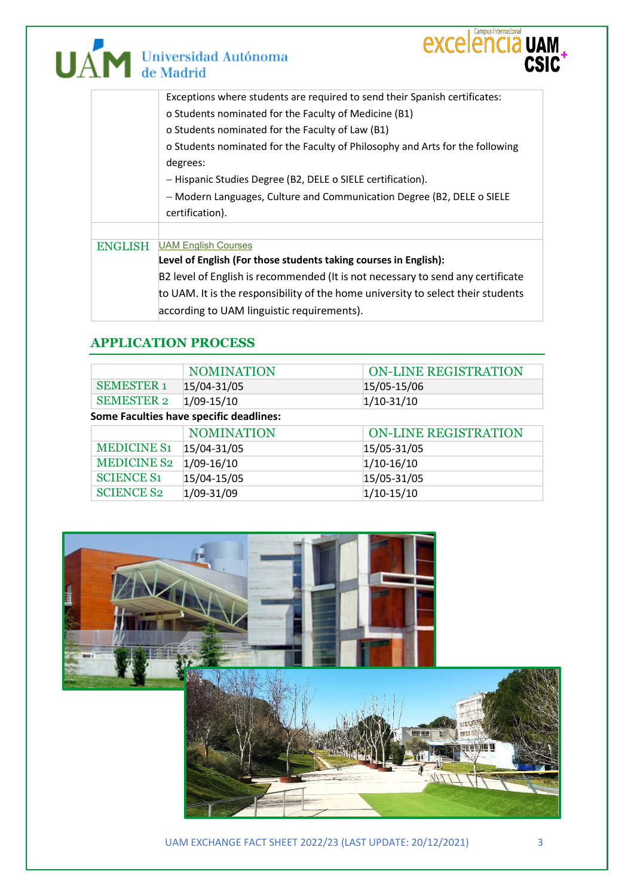

## Exceptions where students are required to send their Spanish certificates: o Students nominated for the Faculty of Medicine (B1) o Students nominated for the Faculty of Law (B1) o Students nominated for the Faculty of Philosophy and Arts for the following degrees: − Hispanic Studies Degree (B2, DELE o SIELE certification). − Modern Languages, Culture and Communication Degree (B2, DELE o SIELE certification). ENGLISH [UAM English Courses](https://www.uam.es/uam/media/doc/1606875620625/uamenglishcourses2021-22revisado21sept.pdf) **Level of English (For those students taking courses in English):** B2 level of English is recommended (It is not necessary to send any certificate

to UAM. It is the responsibility of the home university to select their students according to UAM linguistic requirements).

**EXCELENCIA UAM** 

CSIC

## **APPLICATION PROCESS**

|                                         | <b>NOMINATION</b> | <b>ON-LINE REGISTRATION</b> |
|-----------------------------------------|-------------------|-----------------------------|
| <b>SEMESTER 1</b>                       | 15/04-31/05       | 15/05-15/06                 |
| <b>SEMESTER 2</b>                       | $1/09 - 15/10$    | $1/10 - 31/10$              |
| Some Faculties have specific deadlines: |                   |                             |
|                                         | <b>NOMINATION</b> | <b>ON-LINE REGISTRATION</b> |
| <b>MEDICINE S1</b>                      | 15/04-31/05       | 15/05-31/05                 |
| <b>MEDICINE S2</b>                      | $1/09 - 16/10$    | $1/10-16/10$                |
| <b>SCIENCE S1</b>                       | 15/04-15/05       | 15/05-31/05                 |
| <b>SCIENCE S2</b>                       | $1/09 - 31/09$    | $1/10-15/10$                |



UAM EXCHANGE FACT SHEET 2022/23 (LAST UPDATE: 20/12/2021) 3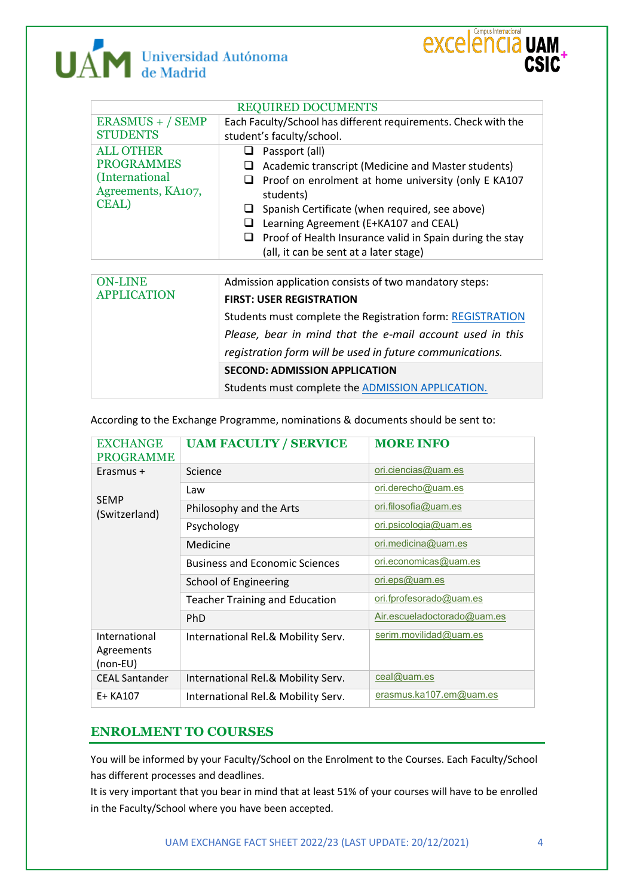# UAM Universidad Autónoma



| <b>REQUIRED DOCUMENTS</b>                                                                      |                                                                                                                                                                                                                                                                                                                                                                    |  |
|------------------------------------------------------------------------------------------------|--------------------------------------------------------------------------------------------------------------------------------------------------------------------------------------------------------------------------------------------------------------------------------------------------------------------------------------------------------------------|--|
| $ERASMUS + / SEMP$<br><b>STUDENTS</b>                                                          | Each Faculty/School has different requirements. Check with the<br>student's faculty/school.                                                                                                                                                                                                                                                                        |  |
| <b>ALL OTHER</b><br><b>PROGRAMMES</b><br>(International<br>Agreements, KA107,<br><b>CEAL</b> ) | Passport (all)<br>ப<br>Academic transcript (Medicine and Master students)<br>Proof on enrolment at home university (only E KA107<br>ப<br>students)<br>Spanish Certificate (when required, see above)<br>u<br>Learning Agreement (E+KA107 and CEAL)<br>❏<br>Proof of Health Insurance valid in Spain during the stay<br>ப<br>(all, it can be sent at a later stage) |  |
|                                                                                                |                                                                                                                                                                                                                                                                                                                                                                    |  |
| <b>ON-LINE</b><br><b>APPLICATION</b>                                                           | Admission application consists of two mandatory steps:<br><b>FIRST: USER REGISTRATION</b><br>Students must complete the Registration form: REGISTRATION<br>Please, bear in mind that the e-mail account used in this<br>registration form will be used in future communications.                                                                                   |  |
|                                                                                                | <b>SECOND: ADMISSION APPLICATION</b>                                                                                                                                                                                                                                                                                                                               |  |
|                                                                                                | Students must complete the ADMISSION APPLICATION.                                                                                                                                                                                                                                                                                                                  |  |

According to the Exchange Programme, nominations & documents should be sent to:

| <b>EXCHANGE</b><br><b>PROGRAMME</b>       | <b>UAM FACULTY / SERVICE</b>          | <b>MORE INFO</b>             |
|-------------------------------------------|---------------------------------------|------------------------------|
| Erasmus +                                 | Science                               | ori.ciencias@uam.es          |
| <b>SEMP</b><br>(Switzerland)              | Law                                   | ori.derecho@uam.es           |
|                                           | Philosophy and the Arts               | ori.filosofia@uam.es         |
|                                           | Psychology                            | <u>ori.psicologia@uam.es</u> |
|                                           | Medicine                              | ori.medicina@uam.es          |
|                                           | <b>Business and Economic Sciences</b> | ori.economicas@uam.es        |
|                                           | School of Engineering                 | ori.eps@uam.es               |
|                                           | <b>Teacher Training and Education</b> | ori.fprofesorado@uam.es      |
|                                           | <b>PhD</b>                            | Air.escueladoctorado@uam.es  |
| International<br>Agreements<br>$(non-EU)$ | International Rel.& Mobility Serv.    | serim.movilidad@uam.es       |
| <b>CEAL Santander</b>                     | International Rel.& Mobility Serv.    | $ceal@$ uam.es               |
| E+ KA107                                  | International Rel.& Mobility Serv.    | erasmus.ka107.em@uam.es      |

### **ENROLMENT TO COURSES**

You will be informed by your Faculty/School on the Enrolment to the Courses. Each Faculty/School has different processes and deadlines.

It is very important that you bear in mind that at least 51% of your courses will have to be enrolled in the Faculty/School where you have been accepted.